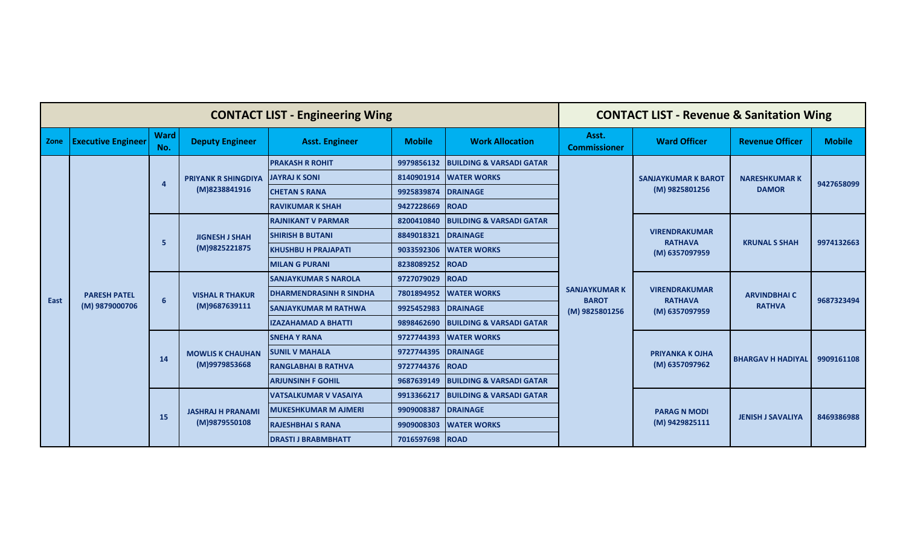| <b>CONTACT LIST - Engineering Wing</b> |                                       |                    |                                           |                                |               | <b>CONTACT LIST - Revenue &amp; Sanitation Wing</b> |                                                        |                                                          |                                     |               |
|----------------------------------------|---------------------------------------|--------------------|-------------------------------------------|--------------------------------|---------------|-----------------------------------------------------|--------------------------------------------------------|----------------------------------------------------------|-------------------------------------|---------------|
| Zone                                   | <b>Executive Engineer</b>             | <b>Ward</b><br>No. | <b>Deputy Engineer</b>                    | <b>Asst. Engineer</b>          | <b>Mobile</b> | <b>Work Allocation</b>                              | Asst.<br><b>Commissioner</b>                           | <b>Ward Officer</b>                                      | <b>Revenue Officer</b>              | <b>Mobile</b> |
|                                        |                                       |                    |                                           | <b>PRAKASH R ROHIT</b>         | 9979856132    | <b>BUILDING &amp; VARSADI GATAR</b>                 |                                                        | <b>SANJAYKUMAR K BAROT</b><br>(M) 9825801256             | <b>NARESHKUMARK</b><br><b>DAMOR</b> | 9427658099    |
|                                        |                                       | $\overline{a}$     | <b>PRIYANK R SHINGDIYA</b>                | <b>JAYRAJ K SONI</b>           | 8140901914    | <b>WATER WORKS</b>                                  |                                                        |                                                          |                                     |               |
|                                        |                                       |                    | (M)8238841916                             | <b>CHETAN S RANA</b>           | 9925839874    | <b>DRAINAGE</b>                                     |                                                        |                                                          |                                     |               |
|                                        |                                       |                    |                                           | <b>RAVIKUMAR K SHAH</b>        | 9427228669    | <b>ROAD</b>                                         |                                                        |                                                          |                                     |               |
|                                        |                                       |                    |                                           | <b>RAJNIKANT V PARMAR</b>      | 8200410840    | <b>BUILDING &amp; VARSADI GATAR</b>                 |                                                        | <b>VIRENDRAKUMAR</b><br><b>RATHAVA</b><br>(M) 6357097959 | <b>KRUNAL S SHAH</b>                | 9974132663    |
|                                        |                                       | -5                 | <b>JIGNESH J SHAH</b><br>(M)9825221875    | <b>SHIRISH B BUTANI</b>        | 8849018321    | <b>DRAINAGE</b>                                     | <b>SANJAYKUMAR K</b><br><b>BAROT</b><br>(M) 9825801256 |                                                          |                                     |               |
|                                        |                                       |                    |                                           | <b>KHUSHBU H PRAJAPATI</b>     | 9033592306    | <b>WATER WORKS</b>                                  |                                                        |                                                          |                                     |               |
|                                        |                                       |                    |                                           | <b>MILAN G PURANI</b>          | 8238089252    | <b>ROAD</b>                                         |                                                        |                                                          |                                     |               |
|                                        |                                       | 6                  | <b>VISHAL R THAKUR</b><br>(M)9687639111   | <b>SANJAYKUMAR S NAROLA</b>    | 9727079029    | <b>ROAD</b>                                         |                                                        | <b>VIRENDRAKUMAR</b><br><b>RATHAVA</b><br>(M) 6357097959 | <b>ARVINDBHAIC</b><br><b>RATHVA</b> | 9687323494    |
| East                                   | <b>PARESH PATEL</b><br>(M) 9879000706 |                    |                                           | <b>DHARMENDRASINH R SINDHA</b> | 7801894952    | <b>WATER WORKS</b>                                  |                                                        |                                                          |                                     |               |
|                                        |                                       |                    |                                           | <b>SANJAYKUMAR M RATHWA</b>    | 9925452983    | <b>DRAINAGE</b>                                     |                                                        |                                                          |                                     |               |
|                                        |                                       |                    |                                           | <b>IZAZAHAMAD A BHATTI</b>     | 9898462690    | <b>BUILDING &amp; VARSADI GATAR</b>                 |                                                        |                                                          |                                     |               |
|                                        |                                       |                    | <b>MOWLIS K CHAUHAN</b><br>(M)9979853668  | <b>SNEHA Y RANA</b>            | 9727744393    | <b>WATER WORKS</b>                                  |                                                        | <b>PRIYANKA K OJHA</b><br>(M) 6357097962                 | <b>BHARGAV H HADIYAL</b>            | 9909161108    |
|                                        |                                       | 14                 |                                           | <b>SUNIL V MAHALA</b>          | 9727744395    | <b>DRAINAGE</b>                                     |                                                        |                                                          |                                     |               |
|                                        |                                       |                    |                                           | <b>RANGLABHAI B RATHVA</b>     | 9727744376    | <b>ROAD</b>                                         |                                                        |                                                          |                                     |               |
|                                        |                                       |                    |                                           | <b>ARJUNSINH F GOHIL</b>       | 9687639149    | <b>BUILDING &amp; VARSADI GATAR</b>                 |                                                        |                                                          |                                     |               |
|                                        |                                       |                    | <b>JASHRAJ H PRANAMI</b><br>(M)9879550108 | <b>VATSALKUMAR V VASAIYA</b>   | 9913366217    | <b>BUILDING &amp; VARSADI GATAR</b>                 |                                                        | <b>PARAG N MODI</b><br>(M) 9429825111                    | <b>JENISH J SAVALIYA</b>            | 8469386988    |
|                                        |                                       | <b>15</b>          |                                           | <b>MUKESHKUMAR M AJMERI</b>    | 9909008387    | <b>DRAINAGE</b>                                     |                                                        |                                                          |                                     |               |
|                                        |                                       |                    |                                           | <b>RAJESHBHAI S RANA</b>       | 9909008303    | <b>WATER WORKS</b>                                  |                                                        |                                                          |                                     |               |
|                                        |                                       |                    |                                           | <b>DRASTI J BRABMBHATT</b>     | 7016597698    | <b>ROAD</b>                                         |                                                        |                                                          |                                     |               |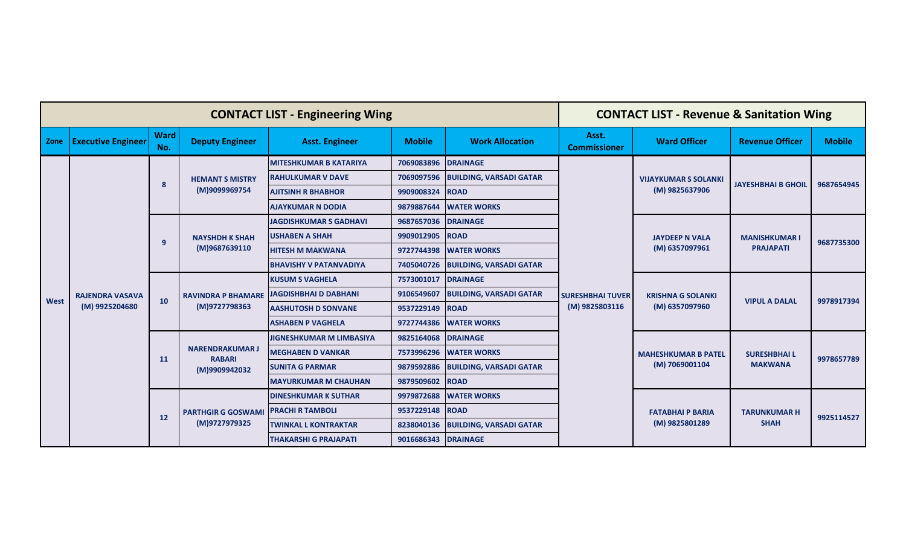| <b>CONTACT LIST - Engineering Wing</b> |                                          |                    |                                                          |                                 | <b>CONTACT LIST - Revenue &amp; Sanitation Wing</b> |                                |                                           |                                               |                                          |               |
|----------------------------------------|------------------------------------------|--------------------|----------------------------------------------------------|---------------------------------|-----------------------------------------------------|--------------------------------|-------------------------------------------|-----------------------------------------------|------------------------------------------|---------------|
| Zone                                   | <b>Executive Engineer</b>                | <b>Ward</b><br>No. | <b>Deputy Engineer</b>                                   | <b>Asst. Engineer</b>           | <b>Mobile</b>                                       | <b>Work Allocation</b>         | Asst.<br><b>Commissioner</b>              | <b>Ward Officer</b>                           | <b>Revenue Officer</b>                   | <b>Mobile</b> |
|                                        |                                          |                    |                                                          | <b>MITESHKUMAR B KATARIYA</b>   | 7069083896                                          | <b>DRAINAGE</b>                |                                           | <b>VIJAYKUMAR S SOLANKI</b><br>(M) 9825637906 | <b>JAYESHBHAI B GHOIL</b>                | 9687654945    |
|                                        |                                          | 8                  | <b>HEMANT S MISTRY</b>                                   | <b>RAHULKUMAR V DAVE</b>        | 7069097596                                          | <b>BUILDING, VARSADI GATAR</b> |                                           |                                               |                                          |               |
|                                        |                                          |                    | (M)9099969754                                            | <b>AJITSINH R BHABHOR</b>       | 9909008324                                          | <b>ROAD</b>                    |                                           |                                               |                                          |               |
|                                        | <b>RAJENDRA VASAVA</b><br>(M) 9925204680 |                    |                                                          | <b>AJAYKUMAR N DODIA</b>        | 9879887644                                          | <b>WATER WORKS</b>             |                                           |                                               |                                          |               |
|                                        |                                          | 9                  |                                                          | <b>JAGDISHKUMAR S GADHAVI</b>   | 9687657036                                          | <b>DRAINAGE</b>                |                                           | <b>JAYDEEP N VALA</b><br>(M) 6357097961       | <b>MANISHKUMAR I</b><br><b>PRAJAPATI</b> | 9687735300    |
|                                        |                                          |                    | <b>NAYSHDH K SHAH</b><br>(M)9687639110                   | <b>USHABEN A SHAH</b>           | 9909012905                                          | <b>ROAD</b>                    | <b>SURESHBHAI TUVER</b><br>(M) 9825803116 |                                               |                                          |               |
|                                        |                                          |                    |                                                          | <b>HITESH M MAKWANA</b>         | 9727744398                                          | <b>WATER WORKS</b>             |                                           |                                               |                                          |               |
|                                        |                                          |                    |                                                          | <b>BHAVISHY V PATANVADIYA</b>   | 7405040726                                          | <b>BUILDING, VARSADI GATAR</b> |                                           |                                               |                                          |               |
|                                        |                                          | 10                 | <b>RAVINDRA P BHAMARE</b><br>(M)9727798363               | <b>KUSUM S VAGHELA</b>          | 7573001017                                          | <b>DRAINAGE</b>                |                                           | <b>KRISHNA G SOLANKI</b><br>(M) 6357097960    | <b>VIPUL A DALAL</b>                     | 9978917394    |
| <b>West</b>                            |                                          |                    |                                                          | JAGDISHBHAI D DABHANI           | 9106549607                                          | <b>BUILDING, VARSADI GATAR</b> |                                           |                                               |                                          |               |
|                                        |                                          |                    |                                                          | <b>AASHUTOSH D SONVANE</b>      | 9537229149                                          | <b>ROAD</b>                    |                                           |                                               |                                          |               |
|                                        |                                          |                    |                                                          | <b>ASHABEN P VAGHELA</b>        | 9727744386                                          | <b>WATER WORKS</b>             |                                           |                                               |                                          |               |
|                                        |                                          | 11                 | <b>NARENDRAKUMAR J</b><br><b>RABARI</b><br>(M)9909942032 | <b>JIGNESHKUMAR M LIMBASIYA</b> | 9825164068                                          | <b>DRAINAGE</b>                |                                           | <b>MAHESHKUMAR B PATEL</b><br>(M) 7069001104  | <b>SURESHBHAIL</b>                       | 9978657789    |
|                                        |                                          |                    |                                                          | <b>MEGHABEN D VANKAR</b>        | 7573996296                                          | <b>WATER WORKS</b>             |                                           |                                               |                                          |               |
|                                        |                                          |                    |                                                          | <b>SUNITA G PARMAR</b>          | 9879592886                                          | <b>BUILDING, VARSADI GATAR</b> |                                           |                                               | <b>MAKWANA</b>                           |               |
|                                        |                                          |                    |                                                          | <b>MAYURKUMAR M CHAUHAN</b>     | 9879509602                                          | <b>ROAD</b>                    |                                           |                                               |                                          |               |
|                                        |                                          | 12                 | <b>PARTHGIR G GOSWAMI</b><br>(M)9727979325               | <b>DINESHKUMAR K SUTHAR</b>     | 9979872688                                          | <b>WATER WORKS</b>             |                                           | <b>FATABHAI P BARIA</b><br>(M) 9825801289     | <b>TARUNKUMAR H</b><br><b>SHAH</b>       | 9925114527    |
|                                        |                                          |                    |                                                          | <b>PRACHI R TAMBOLI</b>         | 9537229148                                          | <b>ROAD</b>                    |                                           |                                               |                                          |               |
|                                        |                                          |                    |                                                          | <b>TWINKAL L KONTRAKTAR</b>     | 8238040136                                          | <b>BUILDING, VARSADI GATAR</b> |                                           |                                               |                                          |               |
|                                        |                                          |                    |                                                          | <b>THAKARSHI G PRAJAPATI</b>    | 9016686343                                          | <b>DRAINAGE</b>                |                                           |                                               |                                          |               |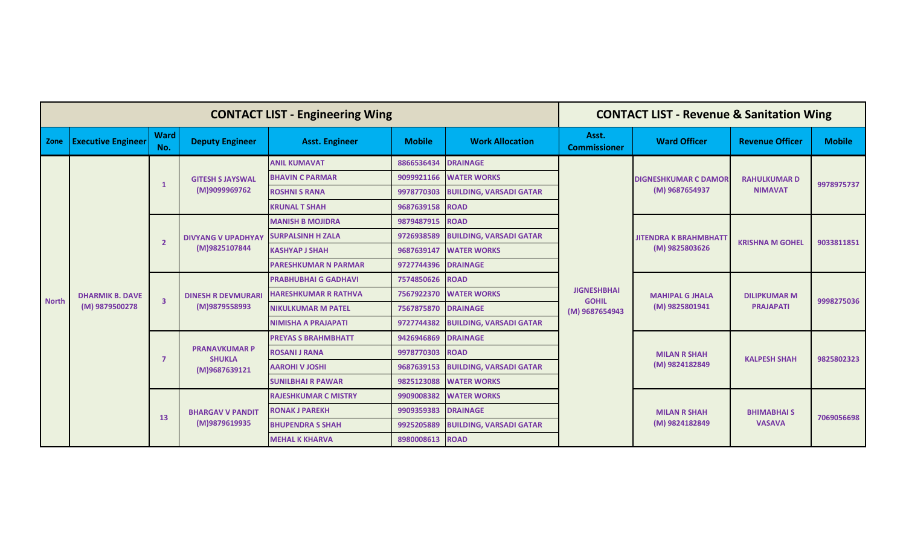| <b>CONTACT LIST - Engineering Wing</b> |                           |                         |                                                        |                             |               | <b>CONTACT LIST - Revenue &amp; Sanitation Wing</b> |                                                      |                                                |                                         |               |  |
|----------------------------------------|---------------------------|-------------------------|--------------------------------------------------------|-----------------------------|---------------|-----------------------------------------------------|------------------------------------------------------|------------------------------------------------|-----------------------------------------|---------------|--|
| Zone                                   | <b>Executive Engineer</b> | <b>Ward</b><br>No.      | <b>Deputy Engineer</b>                                 | <b>Asst. Engineer</b>       | <b>Mobile</b> | <b>Work Allocation</b>                              | Asst.<br><b>Commissioner</b>                         | <b>Ward Officer</b>                            | <b>Revenue Officer</b>                  | <b>Mobile</b> |  |
|                                        |                           |                         |                                                        | <b>ANIL KUMAVAT</b>         | 8866536434    | <b>DRAINAGE</b>                                     |                                                      | <b>DIGNESHKUMAR C DAMOR</b><br>(M) 9687654937  | <b>RAHULKUMARD</b><br><b>NIMAVAT</b>    | 9978975737    |  |
|                                        |                           | -1                      | <b>GITESH S JAYSWAL</b>                                | <b>BHAVIN C PARMAR</b>      | 9099921166    | <b>WATER WORKS</b>                                  |                                                      |                                                |                                         |               |  |
|                                        |                           |                         | (M)9099969762                                          | <b>ROSHNI S RANA</b>        | 9978770303    | <b>BUILDING, VARSADI GATAR</b>                      |                                                      |                                                |                                         |               |  |
|                                        |                           |                         |                                                        | <b>KRUNAL T SHAH</b>        | 9687639158    | <b>ROAD</b>                                         |                                                      |                                                |                                         |               |  |
|                                        |                           |                         |                                                        | <b>MANISH B MOJIDRA</b>     | 9879487915    | <b>ROAD</b>                                         |                                                      | <b>JITENDRA K BRAHMBHATT</b><br>(M) 9825803626 | <b>KRISHNA M GOHEL</b>                  | 9033811851    |  |
|                                        |                           | $\overline{\mathbf{2}}$ | <b>DIVYANG V UPADHYAY</b><br>(M)9825107844             | <b>SURPALSINH H ZALA</b>    | 9726938589    | <b>BUILDING, VARSADI GATAR</b>                      | <b>JIGNESHBHAI</b><br><b>GOHIL</b><br>(M) 9687654943 |                                                |                                         |               |  |
|                                        |                           |                         |                                                        | <b>KASHYAP J SHAH</b>       | 9687639147    | <b>WATER WORKS</b>                                  |                                                      |                                                |                                         |               |  |
|                                        |                           |                         |                                                        | <b>PARESHKUMAR N PARMAR</b> | 9727744396    | <b>DRAINAGE</b>                                     |                                                      |                                                |                                         |               |  |
|                                        |                           | $\overline{\mathbf{3}}$ | <b>DINESH R DEVMURARI</b><br>(M)9879558993             | <b>PRABHUBHAI G GADHAVI</b> | 7574850626    | <b>ROAD</b>                                         |                                                      | <b>MAHIPAL G JHALA</b><br>(M) 9825801941       | <b>DILIPKUMAR M</b><br><b>PRAJAPATI</b> | 9998275036    |  |
| <b>North</b>                           | <b>DHARMIK B. DAVE</b>    |                         |                                                        | <b>HARESHKUMAR R RATHVA</b> | 7567922370    | <b>WATER WORKS</b>                                  |                                                      |                                                |                                         |               |  |
|                                        | (M) 9879500278            |                         |                                                        | <b>NIKULKUMAR M PATEL</b>   | 7567875870    | <b>DRAINAGE</b>                                     |                                                      |                                                |                                         |               |  |
|                                        |                           |                         |                                                        | <b>NIMISHA A PRAJAPATI</b>  | 9727744382    | <b>BUILDING, VARSADI GATAR</b>                      |                                                      |                                                |                                         |               |  |
|                                        |                           |                         | <b>PRANAVKUMAR P</b><br><b>SHUKLA</b><br>(M)9687639121 | <b>PREYAS S BRAHMBHATT</b>  | 9426946869    | <b>DRAINAGE</b>                                     |                                                      | <b>MILAN R SHAH</b><br>(M) 9824182849          | <b>KALPESH SHAH</b>                     | 9825802323    |  |
|                                        |                           |                         |                                                        | <b>ROSANI J RANA</b>        | 9978770303    | <b>ROAD</b>                                         |                                                      |                                                |                                         |               |  |
|                                        |                           |                         |                                                        | <b>AAROHI V JOSHI</b>       | 9687639153    | <b>BUILDING, VARSADI GATAR</b>                      |                                                      |                                                |                                         |               |  |
|                                        |                           |                         |                                                        | <b>SUNILBHAI R PAWAR</b>    | 9825123088    | <b>WATER WORKS</b>                                  |                                                      |                                                |                                         |               |  |
|                                        |                           | 13                      | <b>BHARGAV V PANDIT</b><br>(M)9879619935               | <b>RAJESHKUMAR C MISTRY</b> | 9909008382    | <b>WATER WORKS</b>                                  |                                                      | <b>MILAN R SHAH</b><br>(M) 9824182849          |                                         | 7069056698    |  |
|                                        |                           |                         |                                                        | <b>RONAK J PAREKH</b>       | 9909359383    | <b>DRAINAGE</b>                                     |                                                      |                                                | <b>BHIMABHAI S</b><br><b>VASAVA</b>     |               |  |
|                                        |                           |                         |                                                        | <b>BHUPENDRA S SHAH</b>     | 9925205889    | <b>BUILDING, VARSADI GATAR</b>                      |                                                      |                                                |                                         |               |  |
|                                        |                           |                         |                                                        | <b>MEHAL K KHARVA</b>       | 8980008613    | <b>ROAD</b>                                         |                                                      |                                                |                                         |               |  |